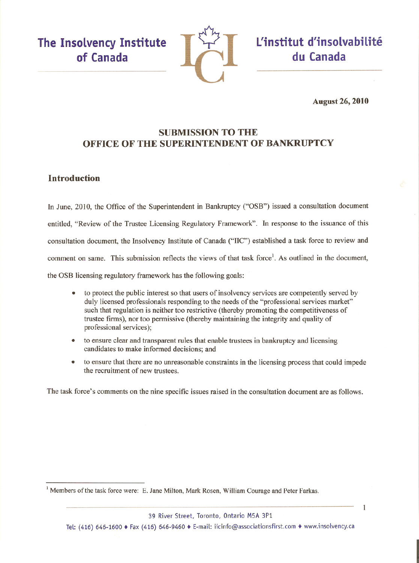The Insolvency Institute of Canada



L'institut d'insolvabilité du Canada

**August 26, 2010** 

1

# **SUBMISSION TO THE OFFICE OF THE SUPERINTENDENT OF BANKRUPTCY**

# **Introduction**

In June, 2010, the Office of the Superintendent in Bankruptcy ("OSB") issued a consultation document entitled, "Review of the Trustee Licensing Regulatory Framework". In response to the issuance of this consultation document, the Insolvency Institute of Canada ("IIC") established a task force to review and comment on same. This submission reflects the views of that task force<sup>1</sup>. As outlined in the document, the OSB licensing regulatory framework has the following goals:

- to protect the public interest so that users of insolvency services are competently served by  $\bullet$ duly licensed professionals responding to the needs of the "professional services market" such that regulation is neither too restrictive (thereby promoting the competitiveness of trustee firms), nor too permissive (thereby maintaining the integrity and quality of professional services);
- to ensure clear and transparent rules that enable trustees in bankruptcy and licensing candidates to make informed decisions; and
- to ensure that there are no unreasonable constraints in the licensing process that could impede  $\bullet$ the recruitment of new trustees.

The task force's comments on the nine specific issues raised in the consultation document are as follows.

39 River Street, Toronto, Ontario M5A 3P1

Tel: (416) 646-1600 ♦ Fax (416) 646-9460 ♦ E-mail: iicinfo@associationsfirst.com ♦ www.insolvency.ca

<sup>&</sup>lt;sup>1</sup> Members of the task force were: E. Jane Milton, Mark Rosen, William Courage and Peter Farkas.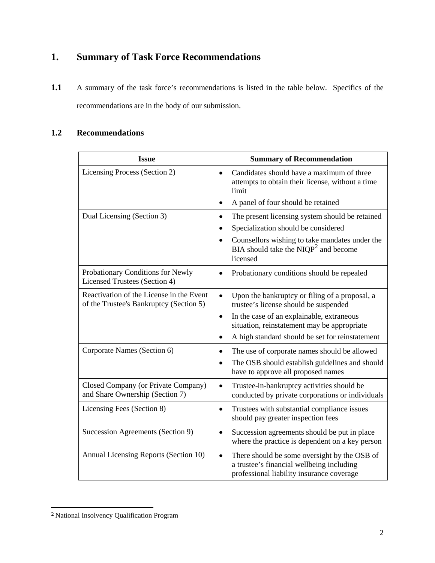# **1. Summary of Task Force Recommendations**

1.1 A summary of the task force's recommendations is listed in the table below. Specifics of the recommendations are in the body of our submission.

# **1.2 Recommendations**

| <b>Issue</b>                                                                        | <b>Summary of Recommendation</b>                                                                                                                    |
|-------------------------------------------------------------------------------------|-----------------------------------------------------------------------------------------------------------------------------------------------------|
| Licensing Process (Section 2)                                                       | Candidates should have a maximum of three<br>$\bullet$<br>attempts to obtain their license, without a time<br>limit                                 |
|                                                                                     | A panel of four should be retained<br>$\bullet$                                                                                                     |
| Dual Licensing (Section 3)                                                          | The present licensing system should be retained<br>$\bullet$                                                                                        |
|                                                                                     | Specialization should be considered<br>$\bullet$                                                                                                    |
|                                                                                     | Counsellors wishing to take mandates under the<br>$\bullet$<br>BIA should take the $NIQP^2$ and become<br>licensed                                  |
| Probationary Conditions for Newly<br>Licensed Trustees (Section 4)                  | Probationary conditions should be repealed<br>$\bullet$                                                                                             |
| Reactivation of the License in the Event<br>of the Trustee's Bankruptcy (Section 5) | Upon the bankruptcy or filing of a proposal, a<br>$\bullet$<br>trustee's license should be suspended                                                |
|                                                                                     | In the case of an explainable, extraneous<br>$\bullet$<br>situation, reinstatement may be appropriate                                               |
|                                                                                     | A high standard should be set for reinstatement<br>$\bullet$                                                                                        |
| Corporate Names (Section 6)                                                         | The use of corporate names should be allowed<br>$\bullet$                                                                                           |
|                                                                                     | The OSB should establish guidelines and should<br>$\bullet$<br>have to approve all proposed names                                                   |
| Closed Company (or Private Company)<br>and Share Ownership (Section 7)              | Trustee-in-bankruptcy activities should be<br>$\bullet$<br>conducted by private corporations or individuals                                         |
| Licensing Fees (Section 8)                                                          | Trustees with substantial compliance issues<br>$\bullet$<br>should pay greater inspection fees                                                      |
| Succession Agreements (Section 9)                                                   | Succession agreements should be put in place<br>$\bullet$<br>where the practice is dependent on a key person                                        |
| Annual Licensing Reports (Section 10)                                               | There should be some oversight by the OSB of<br>$\bullet$<br>a trustee's financial wellbeing including<br>professional liability insurance coverage |

<span id="page-1-0"></span> <sup>2</sup> National Insolvency Qualification Program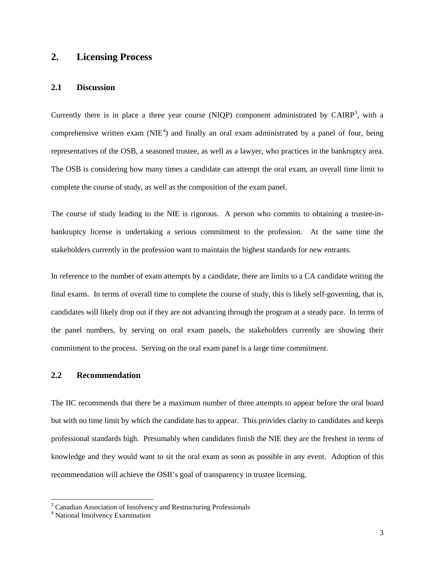# **2. Licensing Process**

#### **2.1 Discussion**

Currently there is in place a three year course (NIQP) component administrated by CAIRP<sup>[3](#page-2-0)</sup>, with a comprehensive written exam  $(NIE<sup>4</sup>)$  $(NIE<sup>4</sup>)$  $(NIE<sup>4</sup>)$  and finally an oral exam administrated by a panel of four, being representatives of the OSB, a seasoned trustee, as well as a lawyer, who practices in the bankruptcy area. The OSB is considering how many times a candidate can attempt the oral exam, an overall time limit to complete the course of study, as well as the composition of the exam panel.

The course of study leading to the NIE is rigorous. A person who commits to obtaining a trustee-inbankruptcy license is undertaking a serious commitment to the profession. At the same time the stakeholders currently in the profession want to maintain the highest standards for new entrants.

In reference to the number of exam attempts by a candidate, there are limits to a CA candidate writing the final exams. In terms of overall time to complete the course of study, this is likely self-governing, that is, candidates will likely drop out if they are not advancing through the program at a steady pace. In terms of the panel numbers, by serving on oral exam panels, the stakeholders currently are showing their commitment to the process. Serving on the oral exam panel is a large time commitment.

### **2.2 Recommendation**

The IIC recommends that there be a maximum number of three attempts to appear before the oral board but with no time limit by which the candidate has to appear. This provides clarity to candidates and keeps professional standards high. Presumably when candidates finish the NIE they are the freshest in terms of knowledge and they would want to sit the oral exam as soon as possible in any event. Adoption of this recommendation will achieve the OSB's goal of transparency in trustee licensing.

<span id="page-2-0"></span><sup>&</sup>lt;sup>3</sup> Canadian Association of Insolvency and Restructuring Professionals

<span id="page-2-1"></span><sup>4</sup> National Insolvency Examination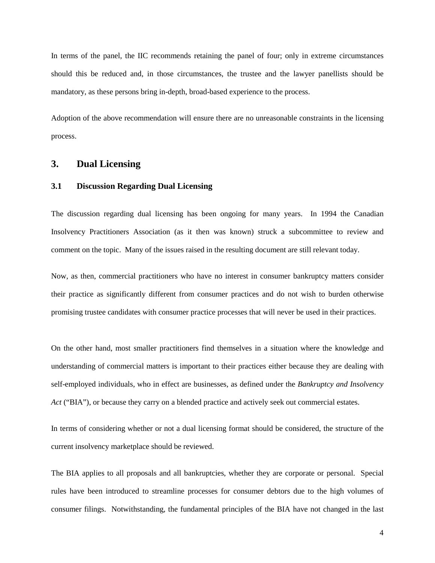In terms of the panel, the IIC recommends retaining the panel of four; only in extreme circumstances should this be reduced and, in those circumstances, the trustee and the lawyer panellists should be mandatory, as these persons bring in-depth, broad-based experience to the process.

Adoption of the above recommendation will ensure there are no unreasonable constraints in the licensing process.

## **3. Dual Licensing**

#### **3.1 Discussion Regarding Dual Licensing**

The discussion regarding dual licensing has been ongoing for many years. In 1994 the Canadian Insolvency Practitioners Association (as it then was known) struck a subcommittee to review and comment on the topic. Many of the issues raised in the resulting document are still relevant today.

Now, as then, commercial practitioners who have no interest in consumer bankruptcy matters consider their practice as significantly different from consumer practices and do not wish to burden otherwise promising trustee candidates with consumer practice processes that will never be used in their practices.

On the other hand, most smaller practitioners find themselves in a situation where the knowledge and understanding of commercial matters is important to their practices either because they are dealing with self-employed individuals, who in effect are businesses, as defined under the *Bankruptcy and Insolvency Act* ("BIA"), or because they carry on a blended practice and actively seek out commercial estates.

In terms of considering whether or not a dual licensing format should be considered, the structure of the current insolvency marketplace should be reviewed.

The BIA applies to all proposals and all bankruptcies, whether they are corporate or personal. Special rules have been introduced to streamline processes for consumer debtors due to the high volumes of consumer filings. Notwithstanding, the fundamental principles of the BIA have not changed in the last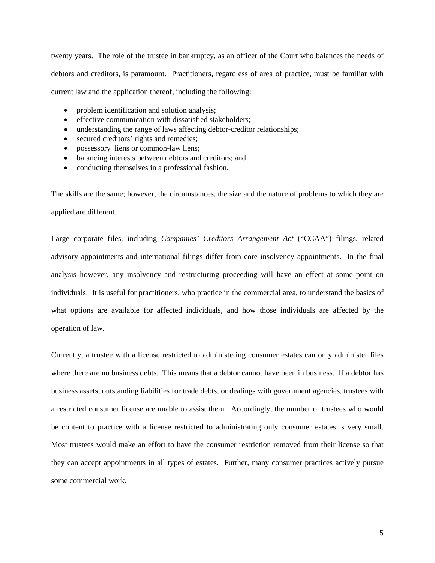twenty years. The role of the trustee in bankruptcy, as an officer of the Court who balances the needs of debtors and creditors, is paramount. Practitioners, regardless of area of practice, must be familiar with current law and the application thereof, including the following:

- problem identification and solution analysis;
- effective communication with dissatisfied stakeholders;
- understanding the range of laws affecting debtor-creditor relationships;
- secured creditors' rights and remedies;
- possessory liens or common-law liens;
- balancing interests between debtors and creditors; and
- conducting themselves in a professional fashion.

The skills are the same; however, the circumstances, the size and the nature of problems to which they are applied are different.

Large corporate files, including *Companies' Creditors Arrangement Act* ("CCAA") filings, related advisory appointments and international filings differ from core insolvency appointments. In the final analysis however, any insolvency and restructuring proceeding will have an effect at some point on individuals. It is useful for practitioners, who practice in the commercial area, to understand the basics of what options are available for affected individuals, and how those individuals are affected by the operation of law.

Currently, a trustee with a license restricted to administering consumer estates can only administer files where there are no business debts. This means that a debtor cannot have been in business. If a debtor has business assets, outstanding liabilities for trade debts, or dealings with government agencies, trustees with a restricted consumer license are unable to assist them. Accordingly, the number of trustees who would be content to practice with a license restricted to administrating only consumer estates is very small. Most trustees would make an effort to have the consumer restriction removed from their license so that they can accept appointments in all types of estates. Further, many consumer practices actively pursue some commercial work.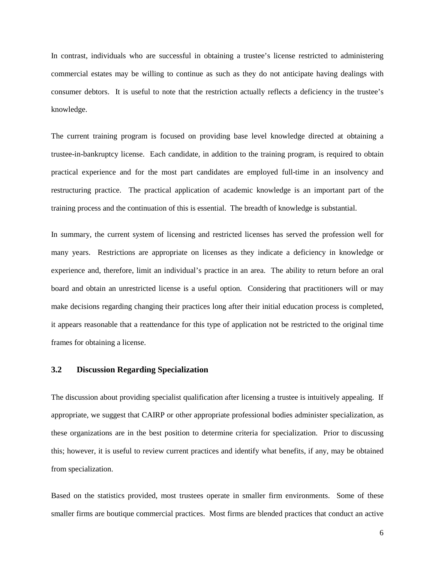In contrast, individuals who are successful in obtaining a trustee's license restricted to administering commercial estates may be willing to continue as such as they do not anticipate having dealings with consumer debtors. It is useful to note that the restriction actually reflects a deficiency in the trustee's knowledge.

The current training program is focused on providing base level knowledge directed at obtaining a trustee-in-bankruptcy license. Each candidate, in addition to the training program, is required to obtain practical experience and for the most part candidates are employed full-time in an insolvency and restructuring practice. The practical application of academic knowledge is an important part of the training process and the continuation of this is essential. The breadth of knowledge is substantial.

In summary, the current system of licensing and restricted licenses has served the profession well for many years. Restrictions are appropriate on licenses as they indicate a deficiency in knowledge or experience and, therefore, limit an individual's practice in an area. The ability to return before an oral board and obtain an unrestricted license is a useful option. Considering that practitioners will or may make decisions regarding changing their practices long after their initial education process is completed, it appears reasonable that a reattendance for this type of application not be restricted to the original time frames for obtaining a license.

#### **3.2 Discussion Regarding Specialization**

The discussion about providing specialist qualification after licensing a trustee is intuitively appealing. If appropriate, we suggest that CAIRP or other appropriate professional bodies administer specialization, as these organizations are in the best position to determine criteria for specialization. Prior to discussing this; however, it is useful to review current practices and identify what benefits, if any, may be obtained from specialization.

Based on the statistics provided, most trustees operate in smaller firm environments. Some of these smaller firms are boutique commercial practices. Most firms are blended practices that conduct an active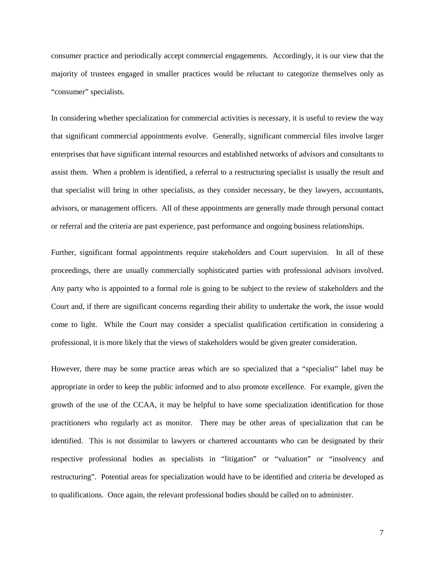consumer practice and periodically accept commercial engagements. Accordingly, it is our view that the majority of trustees engaged in smaller practices would be reluctant to categorize themselves only as "consumer" specialists.

In considering whether specialization for commercial activities is necessary, it is useful to review the way that significant commercial appointments evolve. Generally, significant commercial files involve larger enterprises that have significant internal resources and established networks of advisors and consultants to assist them. When a problem is identified, a referral to a restructuring specialist is usually the result and that specialist will bring in other specialists, as they consider necessary, be they lawyers, accountants, advisors, or management officers. All of these appointments are generally made through personal contact or referral and the criteria are past experience, past performance and ongoing business relationships.

Further, significant formal appointments require stakeholders and Court supervision. In all of these proceedings, there are usually commercially sophisticated parties with professional advisors involved. Any party who is appointed to a formal role is going to be subject to the review of stakeholders and the Court and, if there are significant concerns regarding their ability to undertake the work, the issue would come to light. While the Court may consider a specialist qualification certification in considering a professional, it is more likely that the views of stakeholders would be given greater consideration.

However, there may be some practice areas which are so specialized that a "specialist" label may be appropriate in order to keep the public informed and to also promote excellence. For example, given the growth of the use of the CCAA, it may be helpful to have some specialization identification for those practitioners who regularly act as monitor. There may be other areas of specialization that can be identified. This is not dissimilar to lawyers or chartered accountants who can be designated by their respective professional bodies as specialists in "litigation" or "valuation" or "insolvency and restructuring". Potential areas for specialization would have to be identified and criteria be developed as to qualifications. Once again, the relevant professional bodies should be called on to administer.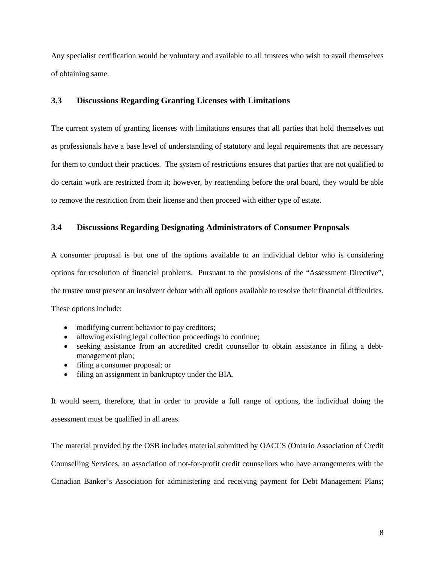Any specialist certification would be voluntary and available to all trustees who wish to avail themselves of obtaining same.

#### **3.3 Discussions Regarding Granting Licenses with Limitations**

The current system of granting licenses with limitations ensures that all parties that hold themselves out as professionals have a base level of understanding of statutory and legal requirements that are necessary for them to conduct their practices. The system of restrictions ensures that parties that are not qualified to do certain work are restricted from it; however, by reattending before the oral board, they would be able to remove the restriction from their license and then proceed with either type of estate.

#### **3.4 Discussions Regarding Designating Administrators of Consumer Proposals**

A consumer proposal is but one of the options available to an individual debtor who is considering options for resolution of financial problems. Pursuant to the provisions of the "Assessment Directive", the trustee must present an insolvent debtor with all options available to resolve their financial difficulties. These options include:

- modifying current behavior to pay creditors;
- allowing existing legal collection proceedings to continue;
- seeking assistance from an accredited credit counsellor to obtain assistance in filing a debtmanagement plan;
- filing a consumer proposal; or
- filing an assignment in bankruptcy under the BIA.

It would seem, therefore, that in order to provide a full range of options, the individual doing the assessment must be qualified in all areas.

The material provided by the OSB includes material submitted by OACCS (Ontario Association of Credit Counselling Services, an association of not-for-profit credit counsellors who have arrangements with the Canadian Banker's Association for administering and receiving payment for Debt Management Plans;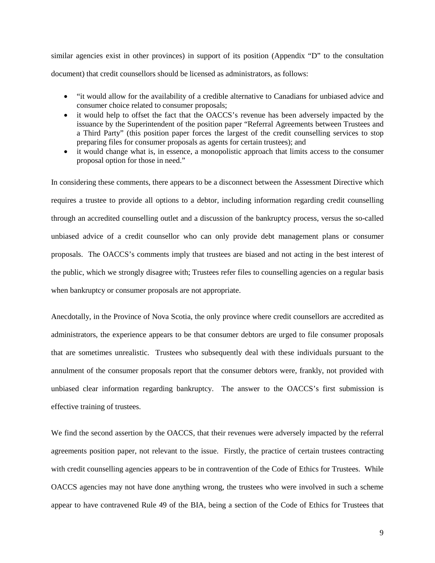similar agencies exist in other provinces) in support of its position (Appendix "D" to the consultation document) that credit counsellors should be licensed as administrators, as follows:

- "it would allow for the availability of a credible alternative to Canadians for unbiased advice and consumer choice related to consumer proposals;
- it would help to offset the fact that the OACCS's revenue has been adversely impacted by the issuance by the Superintendent of the position paper "Referral Agreements between Trustees and a Third Party" (this position paper forces the largest of the credit counselling services to stop preparing files for consumer proposals as agents for certain trustees); and
- it would change what is, in essence, a monopolistic approach that limits access to the consumer proposal option for those in need."

In considering these comments, there appears to be a disconnect between the Assessment Directive which requires a trustee to provide all options to a debtor, including information regarding credit counselling through an accredited counselling outlet and a discussion of the bankruptcy process, versus the so-called unbiased advice of a credit counsellor who can only provide debt management plans or consumer proposals. The OACCS's comments imply that trustees are biased and not acting in the best interest of the public, which we strongly disagree with; Trustees refer files to counselling agencies on a regular basis when bankruptcy or consumer proposals are not appropriate.

Anecdotally, in the Province of Nova Scotia, the only province where credit counsellors are accredited as administrators, the experience appears to be that consumer debtors are urged to file consumer proposals that are sometimes unrealistic. Trustees who subsequently deal with these individuals pursuant to the annulment of the consumer proposals report that the consumer debtors were, frankly, not provided with unbiased clear information regarding bankruptcy. The answer to the OACCS's first submission is effective training of trustees.

We find the second assertion by the OACCS, that their revenues were adversely impacted by the referral agreements position paper, not relevant to the issue. Firstly, the practice of certain trustees contracting with credit counselling agencies appears to be in contravention of the Code of Ethics for Trustees. While OACCS agencies may not have done anything wrong, the trustees who were involved in such a scheme appear to have contravened Rule 49 of the BIA*,* being a section of the Code of Ethics for Trustees that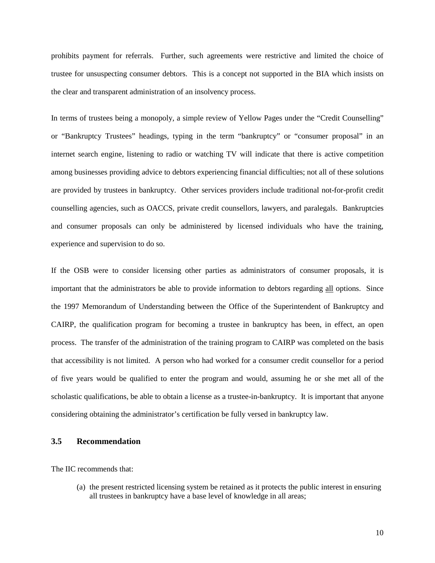prohibits payment for referrals. Further, such agreements were restrictive and limited the choice of trustee for unsuspecting consumer debtors. This is a concept not supported in the BIA which insists on the clear and transparent administration of an insolvency process.

In terms of trustees being a monopoly, a simple review of Yellow Pages under the "Credit Counselling" or "Bankruptcy Trustees" headings, typing in the term "bankruptcy" or "consumer proposal" in an internet search engine, listening to radio or watching TV will indicate that there is active competition among businesses providing advice to debtors experiencing financial difficulties; not all of these solutions are provided by trustees in bankruptcy. Other services providers include traditional not-for-profit credit counselling agencies, such as OACCS, private credit counsellors, lawyers, and paralegals. Bankruptcies and consumer proposals can only be administered by licensed individuals who have the training, experience and supervision to do so.

If the OSB were to consider licensing other parties as administrators of consumer proposals, it is important that the administrators be able to provide information to debtors regarding all options. Since the 1997 Memorandum of Understanding between the Office of the Superintendent of Bankruptcy and CAIRP, the qualification program for becoming a trustee in bankruptcy has been, in effect, an open process. The transfer of the administration of the training program to CAIRP was completed on the basis that accessibility is not limited. A person who had worked for a consumer credit counsellor for a period of five years would be qualified to enter the program and would, assuming he or she met all of the scholastic qualifications, be able to obtain a license as a trustee-in-bankruptcy. It is important that anyone considering obtaining the administrator's certification be fully versed in bankruptcy law.

#### **3.5 Recommendation**

The IIC recommends that:

(a) the present restricted licensing system be retained as it protects the public interest in ensuring all trustees in bankruptcy have a base level of knowledge in all areas;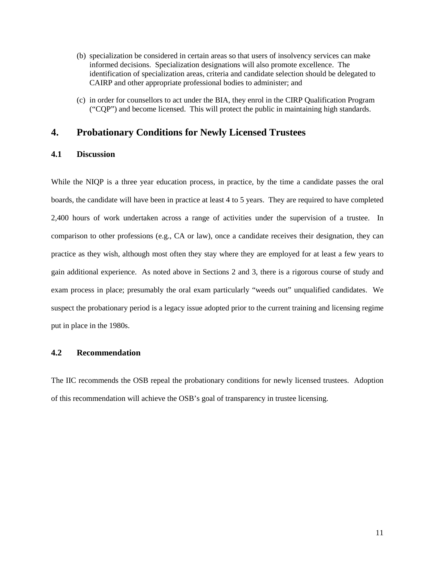- (b) specialization be considered in certain areas so that users of insolvency services can make informed decisions. Specialization designations will also promote excellence. The identification of specialization areas, criteria and candidate selection should be delegated to CAIRP and other appropriate professional bodies to administer; and
- (c) in order for counsellors to act under the BIA, they enrol in the CIRP Qualification Program ("CQP") and become licensed. This will protect the public in maintaining high standards.

# **4. Probationary Conditions for Newly Licensed Trustees**

### **4.1 Discussion**

While the NIQP is a three year education process, in practice, by the time a candidate passes the oral boards, the candidate will have been in practice at least 4 to 5 years. They are required to have completed 2,400 hours of work undertaken across a range of activities under the supervision of a trustee. In comparison to other professions (e.g., CA or law), once a candidate receives their designation, they can practice as they wish, although most often they stay where they are employed for at least a few years to gain additional experience. As noted above in Sections 2 and 3, there is a rigorous course of study and exam process in place; presumably the oral exam particularly "weeds out" unqualified candidates. We suspect the probationary period is a legacy issue adopted prior to the current training and licensing regime put in place in the 1980s.

### **4.2 Recommendation**

The IIC recommends the OSB repeal the probationary conditions for newly licensed trustees. Adoption of this recommendation will achieve the OSB's goal of transparency in trustee licensing.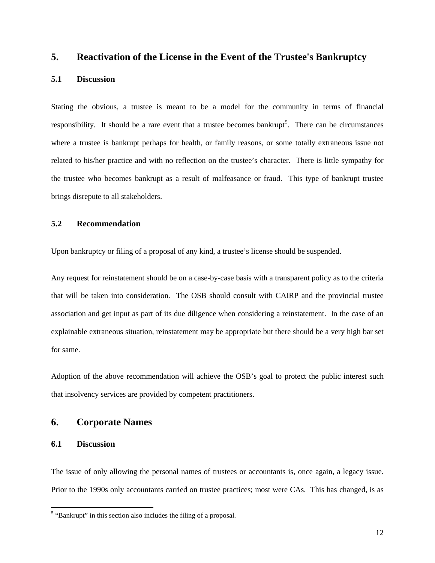# **5. Reactivation of the License in the Event of the Trustee's Bankruptcy**

#### **5.1 Discussion**

Stating the obvious, a trustee is meant to be a model for the community in terms of financial responsibility. It should be a rare event that a trustee becomes bankrupt<sup>[5](#page-11-0)</sup>. There can be circumstances where a trustee is bankrupt perhaps for health, or family reasons, or some totally extraneous issue not related to his/her practice and with no reflection on the trustee's character. There is little sympathy for the trustee who becomes bankrupt as a result of malfeasance or fraud. This type of bankrupt trustee brings disrepute to all stakeholders.

### **5.2 Recommendation**

Upon bankruptcy or filing of a proposal of any kind, a trustee's license should be suspended.

Any request for reinstatement should be on a case-by-case basis with a transparent policy as to the criteria that will be taken into consideration. The OSB should consult with CAIRP and the provincial trustee association and get input as part of its due diligence when considering a reinstatement. In the case of an explainable extraneous situation, reinstatement may be appropriate but there should be a very high bar set for same.

Adoption of the above recommendation will achieve the OSB's goal to protect the public interest such that insolvency services are provided by competent practitioners.

## **6. Corporate Names**

### **6.1 Discussion**

The issue of only allowing the personal names of trustees or accountants is, once again, a legacy issue. Prior to the 1990s only accountants carried on trustee practices; most were CAs. This has changed, is as

<span id="page-11-0"></span><sup>&</sup>lt;sup>5</sup> "Bankrupt" in this section also includes the filing of a proposal.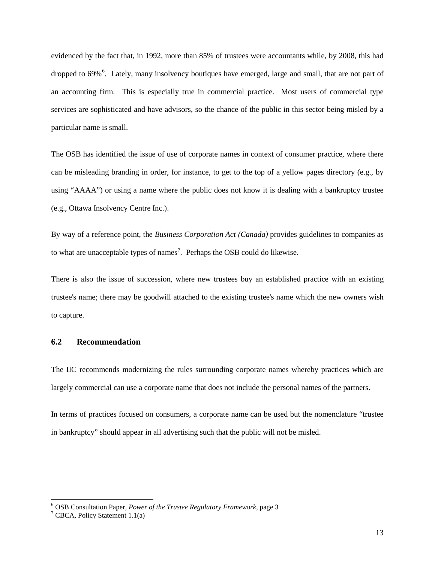evidenced by the fact that, in 1992, more than 85% of trustees were accountants while, by 2008, this had dropped to [6](#page-12-0)9%<sup>6</sup>. Lately, many insolvency boutiques have emerged, large and small, that are not part of an accounting firm. This is especially true in commercial practice. Most users of commercial type services are sophisticated and have advisors, so the chance of the public in this sector being misled by a particular name is small.

The OSB has identified the issue of use of corporate names in context of consumer practice, where there can be misleading branding in order, for instance, to get to the top of a yellow pages directory (e.g., by using "AAAA") or using a name where the public does not know it is dealing with a bankruptcy trustee (e.g., Ottawa Insolvency Centre Inc.).

By way of a reference point, the *Business Corporation Act (Canada)* provides guidelines to companies as to what are unacceptable types of names<sup>[7](#page-12-1)</sup>. Perhaps the OSB could do likewise.

There is also the issue of succession, where new trustees buy an established practice with an existing trustee's name; there may be goodwill attached to the existing trustee's name which the new owners wish to capture.

### **6.2 Recommendation**

The IIC recommends modernizing the rules surrounding corporate names whereby practices which are largely commercial can use a corporate name that does not include the personal names of the partners.

In terms of practices focused on consumers, a corporate name can be used but the nomenclature "trustee in bankruptcy" should appear in all advertising such that the public will not be misled.

<span id="page-12-1"></span><span id="page-12-0"></span><sup>&</sup>lt;sup>6</sup> OSB Consultation Paper, *Power of the Trustee Regulatory Framework*, page 3<sup>7</sup> CBCA, Policy Statement 1.1(a)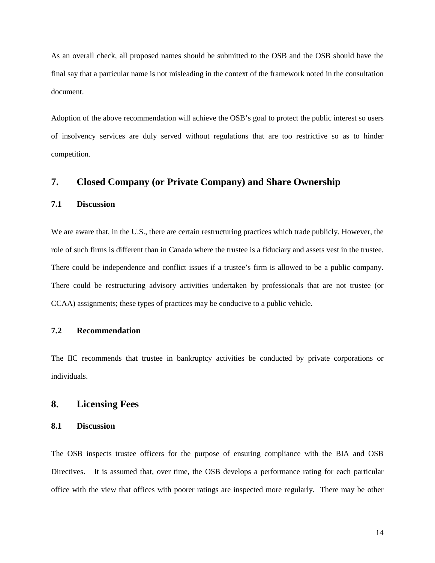As an overall check, all proposed names should be submitted to the OSB and the OSB should have the final say that a particular name is not misleading in the context of the framework noted in the consultation document.

Adoption of the above recommendation will achieve the OSB's goal to protect the public interest so users of insolvency services are duly served without regulations that are too restrictive so as to hinder competition.

# **7. Closed Company (or Private Company) and Share Ownership**

### **7.1 Discussion**

We are aware that, in the U.S., there are certain restructuring practices which trade publicly. However, the role of such firms is different than in Canada where the trustee is a fiduciary and assets vest in the trustee. There could be independence and conflict issues if a trustee's firm is allowed to be a public company. There could be restructuring advisory activities undertaken by professionals that are not trustee (or CCAA) assignments; these types of practices may be conducive to a public vehicle.

# **7.2 Recommendation**

The IIC recommends that trustee in bankruptcy activities be conducted by private corporations or individuals.

## **8. Licensing Fees**

### **8.1 Discussion**

The OSB inspects trustee officers for the purpose of ensuring compliance with the BIA and OSB Directives. It is assumed that, over time, the OSB develops a performance rating for each particular office with the view that offices with poorer ratings are inspected more regularly. There may be other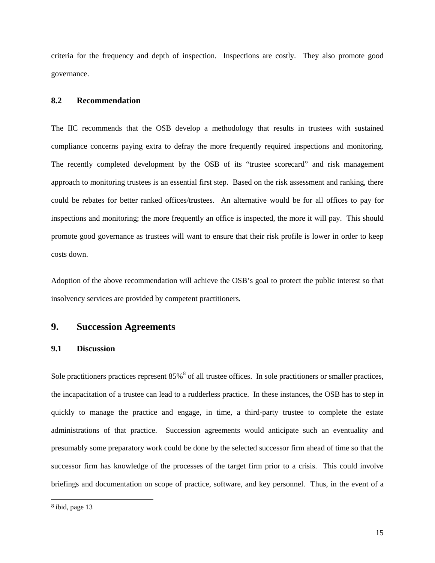criteria for the frequency and depth of inspection. Inspections are costly. They also promote good governance.

#### **8.2 Recommendation**

The IIC recommends that the OSB develop a methodology that results in trustees with sustained compliance concerns paying extra to defray the more frequently required inspections and monitoring. The recently completed development by the OSB of its "trustee scorecard" and risk management approach to monitoring trustees is an essential first step. Based on the risk assessment and ranking, there could be rebates for better ranked offices/trustees. An alternative would be for all offices to pay for inspections and monitoring; the more frequently an office is inspected, the more it will pay. This should promote good governance as trustees will want to ensure that their risk profile is lower in order to keep costs down.

Adoption of the above recommendation will achieve the OSB's goal to protect the public interest so that insolvency services are provided by competent practitioners.

# **9. Succession Agreements**

#### **9.1 Discussion**

Sole practitioners practices represent  $85\%$  $85\%$ <sup>8</sup> of all trustee offices. In sole practitioners or smaller practices, the incapacitation of a trustee can lead to a rudderless practice. In these instances, the OSB has to step in quickly to manage the practice and engage, in time, a third-party trustee to complete the estate administrations of that practice. Succession agreements would anticipate such an eventuality and presumably some preparatory work could be done by the selected successor firm ahead of time so that the successor firm has knowledge of the processes of the target firm prior to a crisis. This could involve briefings and documentation on scope of practice, software, and key personnel. Thus, in the event of a

<span id="page-14-0"></span> <sup>8</sup> ibid, page 13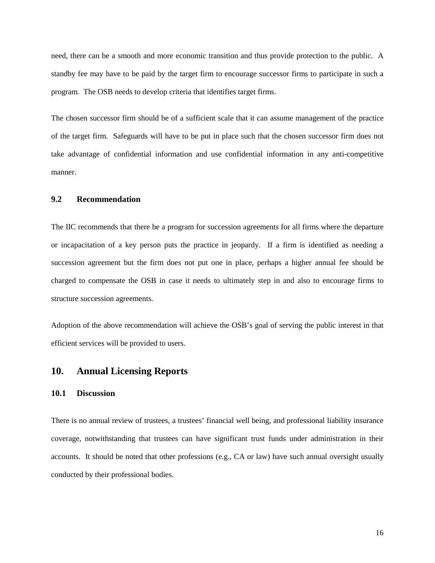need, there can be a smooth and more economic transition and thus provide protection to the public. A standby fee may have to be paid by the target firm to encourage successor firms to participate in such a program. The OSB needs to develop criteria that identifies target firms.

The chosen successor firm should be of a sufficient scale that it can assume management of the practice of the target firm. Safeguards will have to be put in place such that the chosen successor firm does not take advantage of confidential information and use confidential information in any anti-competitive manner.

### **9.2 Recommendation**

The IIC recommends that there be a program for succession agreements for all firms where the departure or incapacitation of a key person puts the practice in jeopardy. If a firm is identified as needing a succession agreement but the firm does not put one in place, perhaps a higher annual fee should be charged to compensate the OSB in case it needs to ultimately step in and also to encourage firms to structure succession agreements.

Adoption of the above recommendation will achieve the OSB's goal of serving the public interest in that efficient services will be provided to users.

### **10. Annual Licensing Reports**

#### **10.1 Discussion**

There is no annual review of trustees, a trustees' financial well being, and professional liability insurance coverage, notwithstanding that trustees can have significant trust funds under administration in their accounts. It should be noted that other professions (e.g., CA or law) have such annual oversight usually conducted by their professional bodies.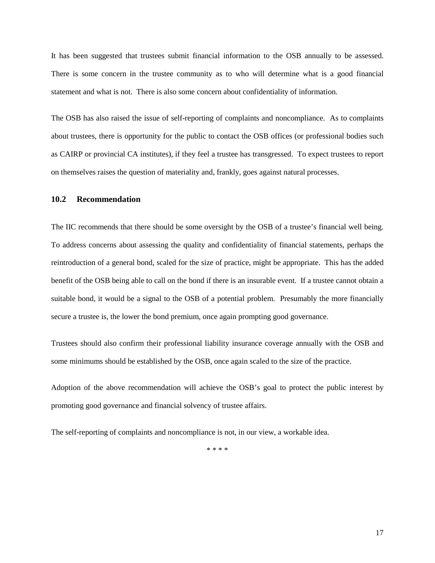It has been suggested that trustees submit financial information to the OSB annually to be assessed. There is some concern in the trustee community as to who will determine what is a good financial statement and what is not. There is also some concern about confidentiality of information.

The OSB has also raised the issue of self-reporting of complaints and noncompliance. As to complaints about trustees, there is opportunity for the public to contact the OSB offices (or professional bodies such as CAIRP or provincial CA institutes), if they feel a trustee has transgressed. To expect trustees to report on themselves raises the question of materiality and, frankly, goes against natural processes.

### **10.2 Recommendation**

The IIC recommends that there should be some oversight by the OSB of a trustee's financial well being. To address concerns about assessing the quality and confidentiality of financial statements, perhaps the reintroduction of a general bond, scaled for the size of practice, might be appropriate. This has the added benefit of the OSB being able to call on the bond if there is an insurable event. If a trustee cannot obtain a suitable bond, it would be a signal to the OSB of a potential problem. Presumably the more financially secure a trustee is, the lower the bond premium, once again prompting good governance.

Trustees should also confirm their professional liability insurance coverage annually with the OSB and some minimums should be established by the OSB, once again scaled to the size of the practice.

Adoption of the above recommendation will achieve the OSB's goal to protect the public interest by promoting good governance and financial solvency of trustee affairs.

The self-reporting of complaints and noncompliance is not, in our view, a workable idea.

\* \* \* \*